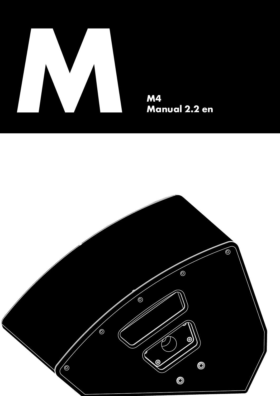

M4<br>Manual 2.2 en

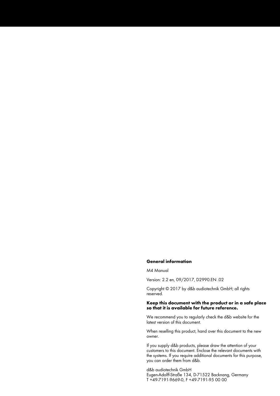#### **General information**

#### M4 Manual

Version: 2.2 en, 09/2017, D2990.EN .02

Copyright © 2017 by d&b audiotechnik GmbH; all rights reserved.

### **Keep this document with the product or in a safe place so that it is available for future reference.**

We recommend you to regularly check the d&b website for the latest version of this document.

When reselling this product, hand over this document to the new owner.

If you supply d&b products, please draw the attention of your customers to this document. Enclose the relevant documents with the systems. If you require additional documents for this purpose, you can order them from d&b.

d&b audiotechnik GmbH Eugen-Adolff-Straße 134, D-71522 Backnang, Germany T +49-7191-9669-0, F +49-7191-95 00 00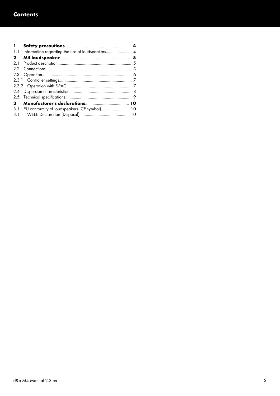| п            |                                                  |  |
|--------------|--------------------------------------------------|--|
| 1.1          |                                                  |  |
| $\mathbf{2}$ |                                                  |  |
| 2.1          |                                                  |  |
| 2.2          |                                                  |  |
| 2.3          |                                                  |  |
|              |                                                  |  |
|              |                                                  |  |
|              |                                                  |  |
|              |                                                  |  |
| 3            |                                                  |  |
|              | 3.1 EU conformity of loudspeakers (CE symbol) 10 |  |
|              |                                                  |  |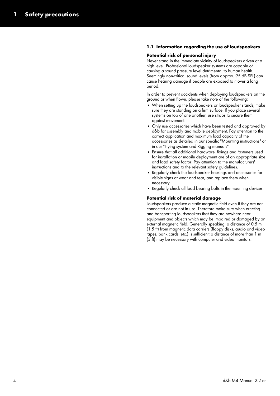# <span id="page-3-0"></span>**1.1 Information regarding the use of loudspeakers**

#### **Potential risk of personal injury**

Never stand in the immediate vicinity of loudspeakers driven at a high level. Professional loudspeaker systems are capable of causing a sound pressure level detrimental to human health. Seemingly non-critical sound levels (from approx. 95 dB SPL) can cause hearing damage if people are exposed to it over a long period.

In order to prevent accidents when deploying loudspeakers on the ground or when flown, please take note of the following:

- When setting up the loudspeakers or loudspeaker stands, make sure they are standing on a firm surface. If you place several systems on top of one another, use straps to secure them against movement.
- **•** Only use accessories which have been tested and approved by d&b for assembly and mobile deployment. Pay attention to the correct application and maximum load capacity of the accessories as detailed in our specific "Mounting instructions" or in our "Flying system and Rigging manuals".
- **Ensure that all additional hardware, fixings and fasteners used** for installation or mobile deployment are of an appropriate size and load safety factor. Pay attention to the manufacturers' instructions and to the relevant safety guidelines.
- Regularly check the loudspeaker housings and accessories for visible signs of wear and tear, and replace them when necessary.
- Regularly check all load bearing bolts in the mounting devices.

#### **Potential risk of material damage**

Loudspeakers produce a static magnetic field even if they are not connected or are not in use. Therefore make sure when erecting and transporting loudspeakers that they are nowhere near equipment and objects which may be impaired or damaged by an external magnetic field. Generally speaking, a distance of 0.5 m (1.5 ft) from magnetic data carriers (floppy disks, audio and video tapes, bank cards, etc.) is sufficient; a distance of more than 1 m (3 ft) may be necessary with computer and video monitors.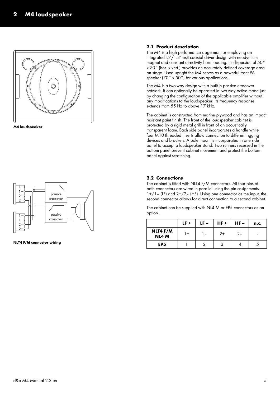<span id="page-4-0"></span>

**M4 loudspeaker**



**NLT4 F/M connector wiring**

## **2.1 Product description**

The M4 is a high performance stage monitor employing an integrated15"/1.3" exit coaxial driver design with neodymium magnet and constant directivity horn loading. Its dispersion of 50° x 70° (hor. x vert.) provides an accurately defined coverage area on stage. Used upright the M4 serves as a powerful front PA speaker (70° x 50°) for various applications.

The M4 is a two-way design with a built-in passive crossover network. It can optionally be operated in two-way active mode just by changing the configuration of the applicable amplifier without any modifications to the loudspeaker. Its frequency response extends from 55 Hz to above 17 kHz.

The cabinet is constructed from marine plywood and has an impact resistant paint finish. The front of the loudspeaker cabinet is protected by a rigid metal grill in front of an acoustically transparent foam. Each side panel incorporates a handle while four M10 threaded inserts allow connection to different rigging devices and brackets. A pole mount is incorporated in one side panel to accept a loudspeaker stand. Two runners recessed in the bottom panel prevent cabinet movement and protect the bottom panel against scratching.

## **2.2 Connections**

The cabinet is fitted with NLT4 F/M connectors. All four pins of both connectors are wired in parallel using the pin assignments  $1+/-$  (LF) and  $2+/2-$  (HF). Using one connector as the input, the second connector allows for direct connection to a second cabinet.

The cabinet can be supplied with NL4 M or EP5 connectors as an option.

|                   | $LF +$ | $LF -$ | $HF +$ | $HF -$ | n.c. |
|-------------------|--------|--------|--------|--------|------|
| NLT4 F/M<br>NL4 M | l +    | l –    | $2+$   | 2-     |      |
| EP <sub>5</sub>   |        |        |        |        |      |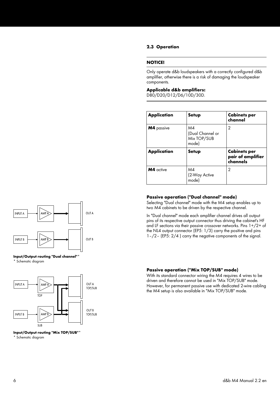### <span id="page-5-0"></span>**2.3 Operation**

#### **NOTICE!**

Only operate d&b loudspeakers with a correctly configured d&b amplifier, otherwise there is a risk of damaging the loudspeaker components.

#### **Applicable d&b amplifiers:**

D80/D20/D12/D6/10D/30D.

| <b>Application</b> | Setup                                          | <b>Cabinets per</b><br>channel                       |
|--------------------|------------------------------------------------|------------------------------------------------------|
| <b>M4</b> passive  | M4<br>(Dual Channel or<br>Mix TOP/SUB<br>mode) | 2                                                    |
| <b>Application</b> | Setup                                          | <b>Cabinets per</b><br>pair of amplifier<br>channels |
| M4 active          | M4<br>(2-Way Active<br>model                   | 2                                                    |

### **Passive operation ("Dual channel" mode)**

Selecting "Dual channel" mode with the M4 setup enables up to two M4 cabinets to be driven by the respective channel.

In "Dual channel" mode each amplifier channel drives all output pins of its respective output connector thus driving the cabinet's HF and LF sections via their passive crossover networks. Pins 1+/2+ of the NL4 output connector (EP5: 1/3) carry the positive and pins 1–/2– (EP5: 2/4 ) carry the negative components of the signal.



**Input/Output routing "Dual channel"\* \*** Schematic diagram



#### **Input/Output routing "Mix TOP/SUB"\***

**\*** Schematic diagram

### **Passive operation ("Mix TOP/SUB" mode)**

With its standard connector wiring the M4 requires 4 wires to be driven and therefore cannot be used in "Mix TOP/SUB" mode. However, for permanent passive use with dedicated 2-wire cabling the M4 setup is also available in "Mix TOP/SUB" mode.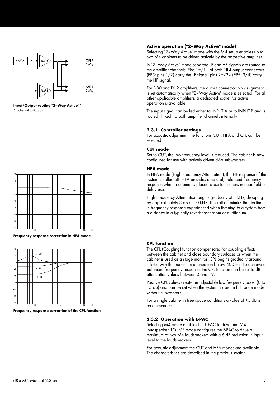<span id="page-6-0"></span>

**Input/Output routing "2–Way Active"\* \*** Schematic diagram



**Frequency response correction in HFA mode**



**Frequency response correction of the CPL function**

# **Active operation ("2–Way Active" mode)**

Selecting "2–Way Active" mode with the M4 setup enables up to two M4 cabinets to be driven actively by the respective amplifier.

In "2–Way Active" mode separate LF and HF signals are routed to the amplifier channels. Pins  $1+/1$  – of both NL4 output connectors (EP5: pins  $1/2$ ) carry the LF signal, pins  $2+/2$  - (EP5:  $3/4$ ) carry the HF signal.

For D80 and D12 amplifiers, the output connector pin assignment is set automatically when "2–Way Active" mode is selected. For all other applicable amplifiers, a dedicated socket for active operation is available.

The input signal can be fed either to INPUT A or to INPUT B and is routed (linked) to both amplifier channels internally.

#### **2.3.1 Controller settings**

For acoustic adjustment the functions CUT, HFA and CPL can be selected.

#### **CUT mode**

Set to CUT, the low frequency level is reduced. The cabinet is now configured for use with actively driven d&b subwoofers.

#### **HFA mode**

In HFA mode (High Frequency Attenuation), the HF response of the system is rolled off. HFA provides a natural, balanced frequency response when a cabinet is placed close to listeners in near field or delay use.

High Frequency Attenuation begins gradually at 1 kHz, dropping by approximately 3 dB at 10 kHz. This roll off mimics the decline in frequency response experienced when listening to a system from a distance in a typically reverberant room or auditorium.

#### **CPL function**

The CPL (Coupling) function compensates for coupling effects between the cabinet and close boundary surfaces or when the cabinet is used as a stage monitor. CPL begins gradually around 1 kHz, with the maximum attenuation below 400 Hz. To achieve a balanced frequency response, the CPL function can be set to dB attenuation values between 0 and –9.

Positive CPL values create an adjustable low frequency boost (0 to +5 dB) and can be set when the system is used in full range mode without subwoofers.

For a single cabinet in free space conditions a value of +3 dB is recommended.

#### **2.3.2 Operation with E-PAC**

Selecting M4 mode enables the E-PAC to drive one M4 loudspeaker. LO IMP mode configures the E-PAC to drive a maximum of two M4 loudspeakers with a 6 dB reduction in input level to the loudspeakers.

For acoustic adjustment the CUT and HFA modes are available. The characteristics are described in the previous section.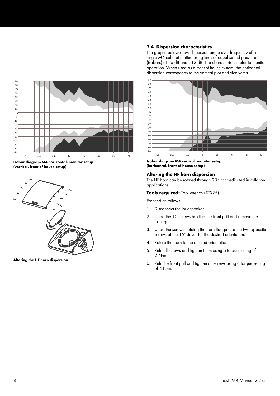<span id="page-7-0"></span>

**Isobar diagram M4 horizontal, monitor setup (vertical, front-of-house setup)**



**Altering the HF horn dispersion**

# **2.4 Dispersion characteristics**

The graphs below show dispersion angle over frequency of a single M4 cabinet plotted using lines of equal sound pressure (isobars) at –6 dB and –12 dB. The characteristics refer to monitor operation. When used as a front-of-house system, the horizontal dispersion corresponds to the vertical plot and vice versa.



**Isobar diagram M4 vertical, monitor setup (horizontal, front-of-house setup)**

## **Altering the HF horn dispersion**

The HF horn can be rotated through 90° for dedicated installation applications.

**Tools required:** Torx wrench (#TX25).

Proceed as follows:

- 1. Disconnect the loudspeaker.
- 2. Undo the 10 screws holding the front grill and remove the front grill.
- 3. Undo the screws holding the horn flange and the two opposite screws at the 15" driver for the desired orientation.
- 4. Rotate the horn to the desired orientation.
- 5. Refit all screws and tighten them using a torque setting of  $2 N·m$ .
- 6. Refit the front grill and tighten all screws using a torque setting of  $4$  N $\cdot$ m.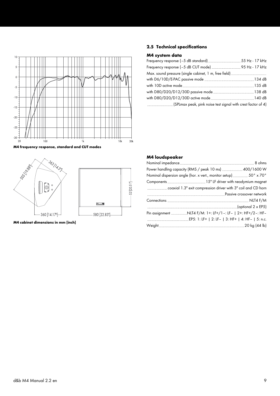<span id="page-8-0"></span>

**M4 frequency response, standard and CUT modes**



**M4 cabinet dimensions in mm [inch]**

# **2.5 Technical specifications**

# **M4 system data**

# **M4 loudspeaker**

| Power handling capacity (RMS / peak 10 ms) 400/1600 W           |  |
|-----------------------------------------------------------------|--|
| Nominal dispersion angle (hor. x vert., monitor setup)50° x 70° |  |
|                                                                 |  |
|                                                                 |  |
|                                                                 |  |
|                                                                 |  |
|                                                                 |  |
| Pin assignment NLT4 F/M: 1+: LF+/1 -: LF-   2+: HF+/2-: HF-     |  |
|                                                                 |  |
|                                                                 |  |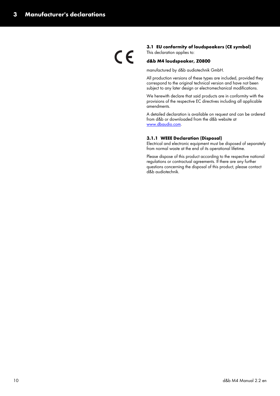<span id="page-9-0"></span> $\epsilon$ 

# **3.1 EU conformity of loudspeakers (CE symbol)**

This declaration applies to:

# **d&b M4 loudspeaker, Z0800**

manufactured by d&b audiotechnik GmbH.

All production versions of these types are included, provided they correspond to the original technical version and have not been subject to any later design or electromechanical modifications.

We herewith declare that said products are in conformity with the provisions of the respective EC directives including all applicable amendments.

A detailed declaration is available on request and can be ordered from d&b or downloaded from the d&b website at www.dbaudio.com.

## **3.1.1 WEEE Declaration (Disposal)**

Electrical and electronic equipment must be disposed of separately from normal waste at the end of its operational lifetime.

Please dispose of this product according to the respective national regulations or contractual agreements. If there are any further questions concerning the disposal of this product, please contact d&b audiotechnik.